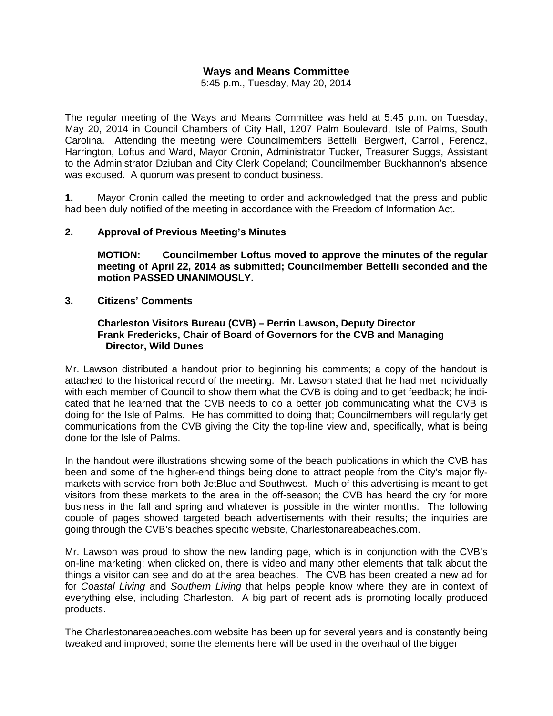# **Ways and Means Committee**

5:45 p.m., Tuesday, May 20, 2014

The regular meeting of the Ways and Means Committee was held at 5:45 p.m. on Tuesday, May 20, 2014 in Council Chambers of City Hall, 1207 Palm Boulevard, Isle of Palms, South Carolina. Attending the meeting were Councilmembers Bettelli, Bergwerf, Carroll, Ferencz, Harrington, Loftus and Ward, Mayor Cronin, Administrator Tucker, Treasurer Suggs, Assistant to the Administrator Dziuban and City Clerk Copeland; Councilmember Buckhannon's absence was excused. A quorum was present to conduct business.

**1.** Mayor Cronin called the meeting to order and acknowledged that the press and public had been duly notified of the meeting in accordance with the Freedom of Information Act.

#### **2. Approval of Previous Meeting's Minutes**

 **MOTION: Councilmember Loftus moved to approve the minutes of the regular meeting of April 22, 2014 as submitted; Councilmember Bettelli seconded and the motion PASSED UNANIMOUSLY.** 

#### **3. Citizens' Comments**

#### **Charleston Visitors Bureau (CVB) – Perrin Lawson, Deputy Director Frank Fredericks, Chair of Board of Governors for the CVB and Managing Director, Wild Dunes**

Mr. Lawson distributed a handout prior to beginning his comments; a copy of the handout is attached to the historical record of the meeting. Mr. Lawson stated that he had met individually with each member of Council to show them what the CVB is doing and to get feedback; he indicated that he learned that the CVB needs to do a better job communicating what the CVB is doing for the Isle of Palms. He has committed to doing that; Councilmembers will regularly get communications from the CVB giving the City the top-line view and, specifically, what is being done for the Isle of Palms.

In the handout were illustrations showing some of the beach publications in which the CVB has been and some of the higher-end things being done to attract people from the City's major flymarkets with service from both JetBlue and Southwest. Much of this advertising is meant to get visitors from these markets to the area in the off-season; the CVB has heard the cry for more business in the fall and spring and whatever is possible in the winter months. The following couple of pages showed targeted beach advertisements with their results; the inquiries are going through the CVB's beaches specific website, Charlestonareabeaches.com.

Mr. Lawson was proud to show the new landing page, which is in conjunction with the CVB's on-line marketing; when clicked on, there is video and many other elements that talk about the things a visitor can see and do at the area beaches. The CVB has been created a new ad for for *Coastal Living* and *Southern Living* that helps people know where they are in context of everything else, including Charleston. A big part of recent ads is promoting locally produced products.

The Charlestonareabeaches.com website has been up for several years and is constantly being tweaked and improved; some the elements here will be used in the overhaul of the bigger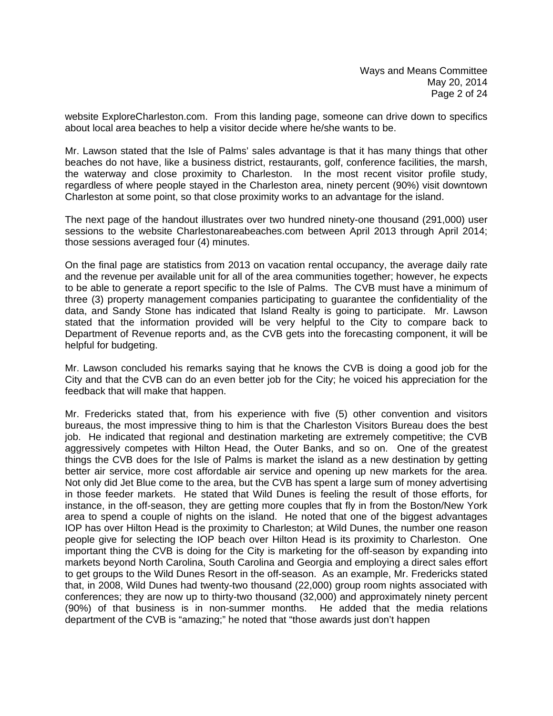website ExploreCharleston.com. From this landing page, someone can drive down to specifics about local area beaches to help a visitor decide where he/she wants to be.

Mr. Lawson stated that the Isle of Palms' sales advantage is that it has many things that other beaches do not have, like a business district, restaurants, golf, conference facilities, the marsh, the waterway and close proximity to Charleston. In the most recent visitor profile study, regardless of where people stayed in the Charleston area, ninety percent (90%) visit downtown Charleston at some point, so that close proximity works to an advantage for the island.

The next page of the handout illustrates over two hundred ninety-one thousand (291,000) user sessions to the website Charlestonareabeaches.com between April 2013 through April 2014; those sessions averaged four (4) minutes.

On the final page are statistics from 2013 on vacation rental occupancy, the average daily rate and the revenue per available unit for all of the area communities together; however, he expects to be able to generate a report specific to the Isle of Palms. The CVB must have a minimum of three (3) property management companies participating to guarantee the confidentiality of the data, and Sandy Stone has indicated that Island Realty is going to participate. Mr. Lawson stated that the information provided will be very helpful to the City to compare back to Department of Revenue reports and, as the CVB gets into the forecasting component, it will be helpful for budgeting.

Mr. Lawson concluded his remarks saying that he knows the CVB is doing a good job for the City and that the CVB can do an even better job for the City; he voiced his appreciation for the feedback that will make that happen.

Mr. Fredericks stated that, from his experience with five (5) other convention and visitors bureaus, the most impressive thing to him is that the Charleston Visitors Bureau does the best job. He indicated that regional and destination marketing are extremely competitive; the CVB aggressively competes with Hilton Head, the Outer Banks, and so on. One of the greatest things the CVB does for the Isle of Palms is market the island as a new destination by getting better air service, more cost affordable air service and opening up new markets for the area. Not only did Jet Blue come to the area, but the CVB has spent a large sum of money advertising in those feeder markets. He stated that Wild Dunes is feeling the result of those efforts, for instance, in the off-season, they are getting more couples that fly in from the Boston/New York area to spend a couple of nights on the island. He noted that one of the biggest advantages IOP has over Hilton Head is the proximity to Charleston; at Wild Dunes, the number one reason people give for selecting the IOP beach over Hilton Head is its proximity to Charleston. One important thing the CVB is doing for the City is marketing for the off-season by expanding into markets beyond North Carolina, South Carolina and Georgia and employing a direct sales effort to get groups to the Wild Dunes Resort in the off-season. As an example, Mr. Fredericks stated that, in 2008, Wild Dunes had twenty-two thousand (22,000) group room nights associated with conferences; they are now up to thirty-two thousand (32,000) and approximately ninety percent (90%) of that business is in non-summer months. He added that the media relations department of the CVB is "amazing;" he noted that "those awards just don't happen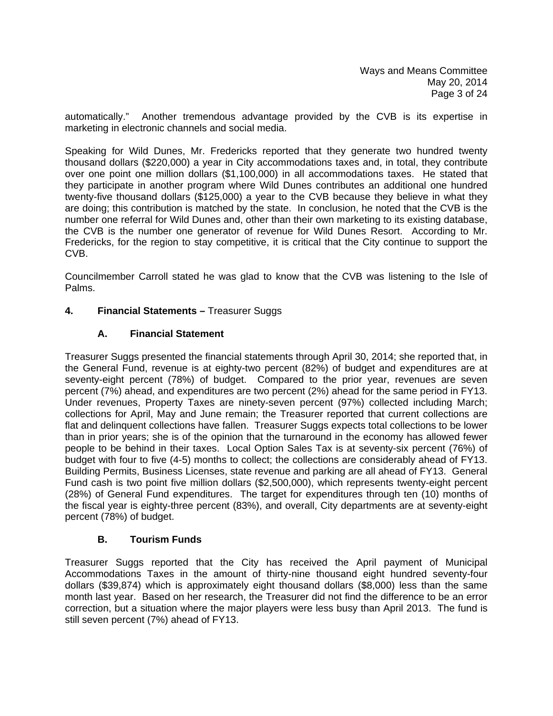automatically." Another tremendous advantage provided by the CVB is its expertise in marketing in electronic channels and social media.

Speaking for Wild Dunes, Mr. Fredericks reported that they generate two hundred twenty thousand dollars (\$220,000) a year in City accommodations taxes and, in total, they contribute over one point one million dollars (\$1,100,000) in all accommodations taxes. He stated that they participate in another program where Wild Dunes contributes an additional one hundred twenty-five thousand dollars (\$125,000) a year to the CVB because they believe in what they are doing; this contribution is matched by the state. In conclusion, he noted that the CVB is the number one referral for Wild Dunes and, other than their own marketing to its existing database, the CVB is the number one generator of revenue for Wild Dunes Resort. According to Mr. Fredericks, for the region to stay competitive, it is critical that the City continue to support the CVB.

Councilmember Carroll stated he was glad to know that the CVB was listening to the Isle of Palms.

# **4. Financial Statements –** Treasurer Suggs

## **A. Financial Statement**

Treasurer Suggs presented the financial statements through April 30, 2014; she reported that, in the General Fund, revenue is at eighty-two percent (82%) of budget and expenditures are at seventy-eight percent (78%) of budget. Compared to the prior year, revenues are seven percent (7%) ahead, and expenditures are two percent (2%) ahead for the same period in FY13. Under revenues, Property Taxes are ninety-seven percent (97%) collected including March; collections for April, May and June remain; the Treasurer reported that current collections are flat and delinquent collections have fallen. Treasurer Suggs expects total collections to be lower than in prior years; she is of the opinion that the turnaround in the economy has allowed fewer people to be behind in their taxes. Local Option Sales Tax is at seventy-six percent (76%) of budget with four to five (4-5) months to collect; the collections are considerably ahead of FY13. Building Permits, Business Licenses, state revenue and parking are all ahead of FY13. General Fund cash is two point five million dollars (\$2,500,000), which represents twenty-eight percent (28%) of General Fund expenditures. The target for expenditures through ten (10) months of the fiscal year is eighty-three percent (83%), and overall, City departments are at seventy-eight percent (78%) of budget.

## **B. Tourism Funds**

Treasurer Suggs reported that the City has received the April payment of Municipal Accommodations Taxes in the amount of thirty-nine thousand eight hundred seventy-four dollars (\$39,874) which is approximately eight thousand dollars (\$8,000) less than the same month last year. Based on her research, the Treasurer did not find the difference to be an error correction, but a situation where the major players were less busy than April 2013. The fund is still seven percent (7%) ahead of FY13.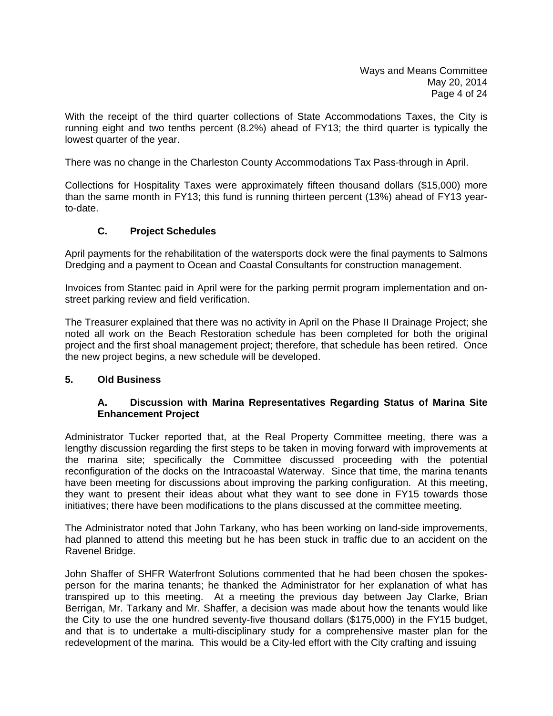With the receipt of the third quarter collections of State Accommodations Taxes, the City is running eight and two tenths percent (8.2%) ahead of FY13; the third quarter is typically the lowest quarter of the year.

There was no change in the Charleston County Accommodations Tax Pass-through in April.

Collections for Hospitality Taxes were approximately fifteen thousand dollars (\$15,000) more than the same month in FY13; this fund is running thirteen percent (13%) ahead of FY13 yearto-date.

# **C. Project Schedules**

April payments for the rehabilitation of the watersports dock were the final payments to Salmons Dredging and a payment to Ocean and Coastal Consultants for construction management.

Invoices from Stantec paid in April were for the parking permit program implementation and onstreet parking review and field verification.

The Treasurer explained that there was no activity in April on the Phase II Drainage Project; she noted all work on the Beach Restoration schedule has been completed for both the original project and the first shoal management project; therefore, that schedule has been retired. Once the new project begins, a new schedule will be developed.

## **5. Old Business**

#### **A. Discussion with Marina Representatives Regarding Status of Marina Site Enhancement Project**

Administrator Tucker reported that, at the Real Property Committee meeting, there was a lengthy discussion regarding the first steps to be taken in moving forward with improvements at the marina site; specifically the Committee discussed proceeding with the potential reconfiguration of the docks on the Intracoastal Waterway. Since that time, the marina tenants have been meeting for discussions about improving the parking configuration. At this meeting, they want to present their ideas about what they want to see done in FY15 towards those initiatives; there have been modifications to the plans discussed at the committee meeting.

The Administrator noted that John Tarkany, who has been working on land-side improvements, had planned to attend this meeting but he has been stuck in traffic due to an accident on the Ravenel Bridge.

John Shaffer of SHFR Waterfront Solutions commented that he had been chosen the spokesperson for the marina tenants; he thanked the Administrator for her explanation of what has transpired up to this meeting. At a meeting the previous day between Jay Clarke, Brian Berrigan, Mr. Tarkany and Mr. Shaffer, a decision was made about how the tenants would like the City to use the one hundred seventy-five thousand dollars (\$175,000) in the FY15 budget, and that is to undertake a multi-disciplinary study for a comprehensive master plan for the redevelopment of the marina. This would be a City-led effort with the City crafting and issuing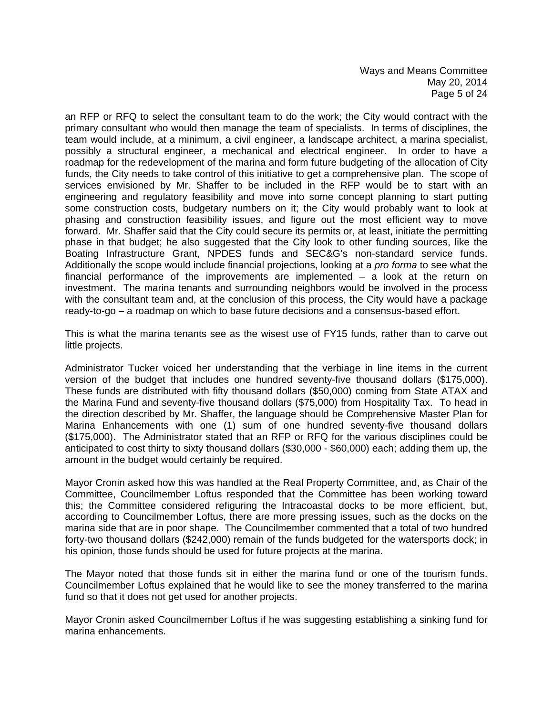an RFP or RFQ to select the consultant team to do the work; the City would contract with the primary consultant who would then manage the team of specialists. In terms of disciplines, the team would include, at a minimum, a civil engineer, a landscape architect, a marina specialist, possibly a structural engineer, a mechanical and electrical engineer. In order to have a roadmap for the redevelopment of the marina and form future budgeting of the allocation of City funds, the City needs to take control of this initiative to get a comprehensive plan. The scope of services envisioned by Mr. Shaffer to be included in the RFP would be to start with an engineering and regulatory feasibility and move into some concept planning to start putting some construction costs, budgetary numbers on it; the City would probably want to look at phasing and construction feasibility issues, and figure out the most efficient way to move forward. Mr. Shaffer said that the City could secure its permits or, at least, initiate the permitting phase in that budget; he also suggested that the City look to other funding sources, like the Boating Infrastructure Grant, NPDES funds and SEC&G's non-standard service funds. Additionally the scope would include financial projections, looking at a *pro forma* to see what the financial performance of the improvements are implemented – a look at the return on investment. The marina tenants and surrounding neighbors would be involved in the process with the consultant team and, at the conclusion of this process, the City would have a package ready-to-go – a roadmap on which to base future decisions and a consensus-based effort.

This is what the marina tenants see as the wisest use of FY15 funds, rather than to carve out little projects.

Administrator Tucker voiced her understanding that the verbiage in line items in the current version of the budget that includes one hundred seventy-five thousand dollars (\$175,000). These funds are distributed with fifty thousand dollars (\$50,000) coming from State ATAX and the Marina Fund and seventy-five thousand dollars (\$75,000) from Hospitality Tax. To head in the direction described by Mr. Shaffer, the language should be Comprehensive Master Plan for Marina Enhancements with one (1) sum of one hundred seventy-five thousand dollars (\$175,000). The Administrator stated that an RFP or RFQ for the various disciplines could be anticipated to cost thirty to sixty thousand dollars (\$30,000 - \$60,000) each; adding them up, the amount in the budget would certainly be required.

Mayor Cronin asked how this was handled at the Real Property Committee, and, as Chair of the Committee, Councilmember Loftus responded that the Committee has been working toward this; the Committee considered refiguring the Intracoastal docks to be more efficient, but, according to Councilmember Loftus, there are more pressing issues, such as the docks on the marina side that are in poor shape. The Councilmember commented that a total of two hundred forty-two thousand dollars (\$242,000) remain of the funds budgeted for the watersports dock; in his opinion, those funds should be used for future projects at the marina.

The Mayor noted that those funds sit in either the marina fund or one of the tourism funds. Councilmember Loftus explained that he would like to see the money transferred to the marina fund so that it does not get used for another projects.

Mayor Cronin asked Councilmember Loftus if he was suggesting establishing a sinking fund for marina enhancements.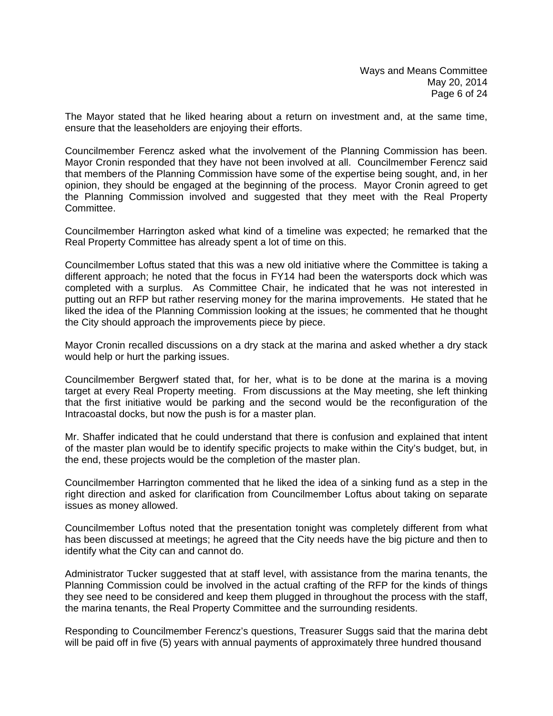The Mayor stated that he liked hearing about a return on investment and, at the same time, ensure that the leaseholders are enjoying their efforts.

Councilmember Ferencz asked what the involvement of the Planning Commission has been. Mayor Cronin responded that they have not been involved at all. Councilmember Ferencz said that members of the Planning Commission have some of the expertise being sought, and, in her opinion, they should be engaged at the beginning of the process. Mayor Cronin agreed to get the Planning Commission involved and suggested that they meet with the Real Property Committee.

Councilmember Harrington asked what kind of a timeline was expected; he remarked that the Real Property Committee has already spent a lot of time on this.

Councilmember Loftus stated that this was a new old initiative where the Committee is taking a different approach; he noted that the focus in FY14 had been the watersports dock which was completed with a surplus. As Committee Chair, he indicated that he was not interested in putting out an RFP but rather reserving money for the marina improvements. He stated that he liked the idea of the Planning Commission looking at the issues; he commented that he thought the City should approach the improvements piece by piece.

Mayor Cronin recalled discussions on a dry stack at the marina and asked whether a dry stack would help or hurt the parking issues.

Councilmember Bergwerf stated that, for her, what is to be done at the marina is a moving target at every Real Property meeting. From discussions at the May meeting, she left thinking that the first initiative would be parking and the second would be the reconfiguration of the Intracoastal docks, but now the push is for a master plan.

Mr. Shaffer indicated that he could understand that there is confusion and explained that intent of the master plan would be to identify specific projects to make within the City's budget, but, in the end, these projects would be the completion of the master plan.

Councilmember Harrington commented that he liked the idea of a sinking fund as a step in the right direction and asked for clarification from Councilmember Loftus about taking on separate issues as money allowed.

Councilmember Loftus noted that the presentation tonight was completely different from what has been discussed at meetings; he agreed that the City needs have the big picture and then to identify what the City can and cannot do.

Administrator Tucker suggested that at staff level, with assistance from the marina tenants, the Planning Commission could be involved in the actual crafting of the RFP for the kinds of things they see need to be considered and keep them plugged in throughout the process with the staff, the marina tenants, the Real Property Committee and the surrounding residents.

Responding to Councilmember Ferencz's questions, Treasurer Suggs said that the marina debt will be paid off in five (5) years with annual payments of approximately three hundred thousand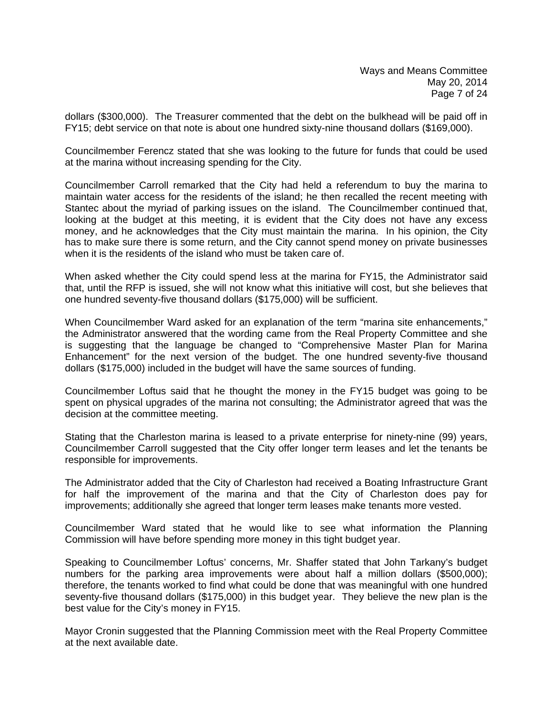dollars (\$300,000). The Treasurer commented that the debt on the bulkhead will be paid off in FY15; debt service on that note is about one hundred sixty-nine thousand dollars (\$169,000).

Councilmember Ferencz stated that she was looking to the future for funds that could be used at the marina without increasing spending for the City.

Councilmember Carroll remarked that the City had held a referendum to buy the marina to maintain water access for the residents of the island; he then recalled the recent meeting with Stantec about the myriad of parking issues on the island. The Councilmember continued that, looking at the budget at this meeting, it is evident that the City does not have any excess money, and he acknowledges that the City must maintain the marina. In his opinion, the City has to make sure there is some return, and the City cannot spend money on private businesses when it is the residents of the island who must be taken care of.

When asked whether the City could spend less at the marina for FY15, the Administrator said that, until the RFP is issued, she will not know what this initiative will cost, but she believes that one hundred seventy-five thousand dollars (\$175,000) will be sufficient.

When Councilmember Ward asked for an explanation of the term "marina site enhancements," the Administrator answered that the wording came from the Real Property Committee and she is suggesting that the language be changed to "Comprehensive Master Plan for Marina Enhancement" for the next version of the budget. The one hundred seventy-five thousand dollars (\$175,000) included in the budget will have the same sources of funding.

Councilmember Loftus said that he thought the money in the FY15 budget was going to be spent on physical upgrades of the marina not consulting; the Administrator agreed that was the decision at the committee meeting.

Stating that the Charleston marina is leased to a private enterprise for ninety-nine (99) years, Councilmember Carroll suggested that the City offer longer term leases and let the tenants be responsible for improvements.

The Administrator added that the City of Charleston had received a Boating Infrastructure Grant for half the improvement of the marina and that the City of Charleston does pay for improvements; additionally she agreed that longer term leases make tenants more vested.

Councilmember Ward stated that he would like to see what information the Planning Commission will have before spending more money in this tight budget year.

Speaking to Councilmember Loftus' concerns, Mr. Shaffer stated that John Tarkany's budget numbers for the parking area improvements were about half a million dollars (\$500,000); therefore, the tenants worked to find what could be done that was meaningful with one hundred seventy-five thousand dollars (\$175,000) in this budget year. They believe the new plan is the best value for the City's money in FY15.

Mayor Cronin suggested that the Planning Commission meet with the Real Property Committee at the next available date.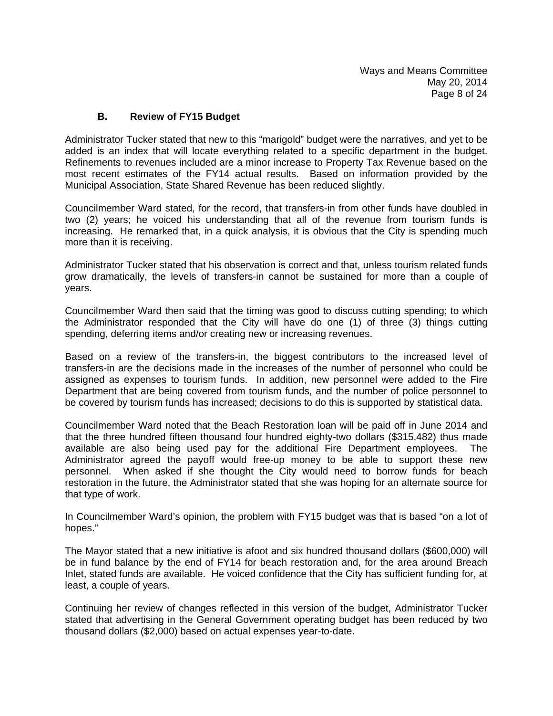#### **B. Review of FY15 Budget**

Administrator Tucker stated that new to this "marigold" budget were the narratives, and yet to be added is an index that will locate everything related to a specific department in the budget. Refinements to revenues included are a minor increase to Property Tax Revenue based on the most recent estimates of the FY14 actual results. Based on information provided by the Municipal Association, State Shared Revenue has been reduced slightly.

Councilmember Ward stated, for the record, that transfers-in from other funds have doubled in two (2) years; he voiced his understanding that all of the revenue from tourism funds is increasing. He remarked that, in a quick analysis, it is obvious that the City is spending much more than it is receiving.

Administrator Tucker stated that his observation is correct and that, unless tourism related funds grow dramatically, the levels of transfers-in cannot be sustained for more than a couple of years.

Councilmember Ward then said that the timing was good to discuss cutting spending; to which the Administrator responded that the City will have do one (1) of three (3) things cutting spending, deferring items and/or creating new or increasing revenues.

Based on a review of the transfers-in, the biggest contributors to the increased level of transfers-in are the decisions made in the increases of the number of personnel who could be assigned as expenses to tourism funds. In addition, new personnel were added to the Fire Department that are being covered from tourism funds, and the number of police personnel to be covered by tourism funds has increased; decisions to do this is supported by statistical data.

Councilmember Ward noted that the Beach Restoration loan will be paid off in June 2014 and that the three hundred fifteen thousand four hundred eighty-two dollars (\$315,482) thus made available are also being used pay for the additional Fire Department employees. The Administrator agreed the payoff would free-up money to be able to support these new personnel. When asked if she thought the City would need to borrow funds for beach restoration in the future, the Administrator stated that she was hoping for an alternate source for that type of work.

In Councilmember Ward's opinion, the problem with FY15 budget was that is based "on a lot of hopes."

The Mayor stated that a new initiative is afoot and six hundred thousand dollars (\$600,000) will be in fund balance by the end of FY14 for beach restoration and, for the area around Breach Inlet, stated funds are available. He voiced confidence that the City has sufficient funding for, at least, a couple of years.

Continuing her review of changes reflected in this version of the budget, Administrator Tucker stated that advertising in the General Government operating budget has been reduced by two thousand dollars (\$2,000) based on actual expenses year-to-date.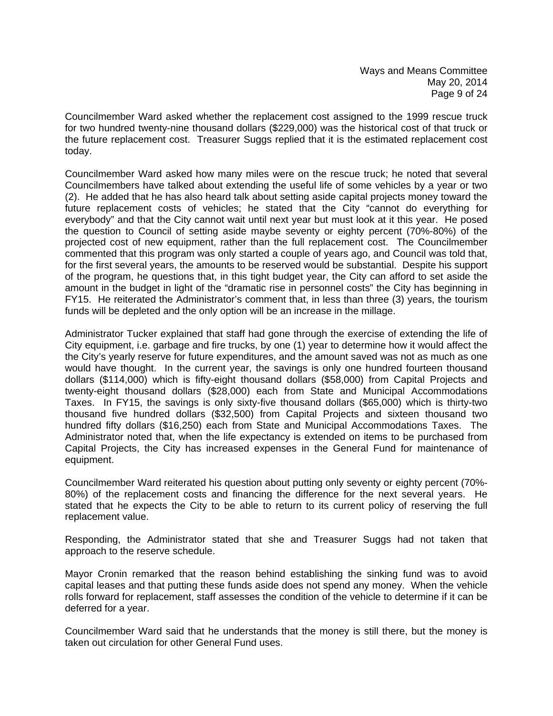Councilmember Ward asked whether the replacement cost assigned to the 1999 rescue truck for two hundred twenty-nine thousand dollars (\$229,000) was the historical cost of that truck or the future replacement cost. Treasurer Suggs replied that it is the estimated replacement cost today.

Councilmember Ward asked how many miles were on the rescue truck; he noted that several Councilmembers have talked about extending the useful life of some vehicles by a year or two (2). He added that he has also heard talk about setting aside capital projects money toward the future replacement costs of vehicles; he stated that the City "cannot do everything for everybody" and that the City cannot wait until next year but must look at it this year. He posed the question to Council of setting aside maybe seventy or eighty percent (70%-80%) of the projected cost of new equipment, rather than the full replacement cost. The Councilmember commented that this program was only started a couple of years ago, and Council was told that, for the first several years, the amounts to be reserved would be substantial. Despite his support of the program, he questions that, in this tight budget year, the City can afford to set aside the amount in the budget in light of the "dramatic rise in personnel costs" the City has beginning in FY15. He reiterated the Administrator's comment that, in less than three (3) years, the tourism funds will be depleted and the only option will be an increase in the millage.

Administrator Tucker explained that staff had gone through the exercise of extending the life of City equipment, i.e. garbage and fire trucks, by one (1) year to determine how it would affect the the City's yearly reserve for future expenditures, and the amount saved was not as much as one would have thought. In the current year, the savings is only one hundred fourteen thousand dollars (\$114,000) which is fifty-eight thousand dollars (\$58,000) from Capital Projects and twenty-eight thousand dollars (\$28,000) each from State and Municipal Accommodations Taxes. In FY15, the savings is only sixty-five thousand dollars (\$65,000) which is thirty-two thousand five hundred dollars (\$32,500) from Capital Projects and sixteen thousand two hundred fifty dollars (\$16,250) each from State and Municipal Accommodations Taxes. The Administrator noted that, when the life expectancy is extended on items to be purchased from Capital Projects, the City has increased expenses in the General Fund for maintenance of equipment.

Councilmember Ward reiterated his question about putting only seventy or eighty percent (70%- 80%) of the replacement costs and financing the difference for the next several years. He stated that he expects the City to be able to return to its current policy of reserving the full replacement value.

Responding, the Administrator stated that she and Treasurer Suggs had not taken that approach to the reserve schedule.

Mayor Cronin remarked that the reason behind establishing the sinking fund was to avoid capital leases and that putting these funds aside does not spend any money. When the vehicle rolls forward for replacement, staff assesses the condition of the vehicle to determine if it can be deferred for a year.

Councilmember Ward said that he understands that the money is still there, but the money is taken out circulation for other General Fund uses.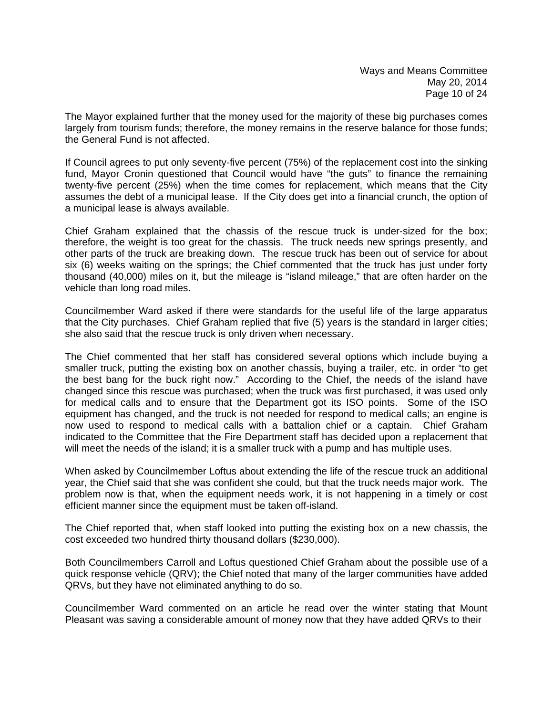The Mayor explained further that the money used for the majority of these big purchases comes largely from tourism funds; therefore, the money remains in the reserve balance for those funds; the General Fund is not affected.

If Council agrees to put only seventy-five percent (75%) of the replacement cost into the sinking fund, Mayor Cronin questioned that Council would have "the guts" to finance the remaining twenty-five percent (25%) when the time comes for replacement, which means that the City assumes the debt of a municipal lease. If the City does get into a financial crunch, the option of a municipal lease is always available.

Chief Graham explained that the chassis of the rescue truck is under-sized for the box; therefore, the weight is too great for the chassis. The truck needs new springs presently, and other parts of the truck are breaking down. The rescue truck has been out of service for about six (6) weeks waiting on the springs; the Chief commented that the truck has just under forty thousand (40,000) miles on it, but the mileage is "island mileage," that are often harder on the vehicle than long road miles.

Councilmember Ward asked if there were standards for the useful life of the large apparatus that the City purchases. Chief Graham replied that five (5) years is the standard in larger cities; she also said that the rescue truck is only driven when necessary.

The Chief commented that her staff has considered several options which include buying a smaller truck, putting the existing box on another chassis, buying a trailer, etc. in order "to get the best bang for the buck right now." According to the Chief, the needs of the island have changed since this rescue was purchased; when the truck was first purchased, it was used only for medical calls and to ensure that the Department got its ISO points. Some of the ISO equipment has changed, and the truck is not needed for respond to medical calls; an engine is now used to respond to medical calls with a battalion chief or a captain. Chief Graham indicated to the Committee that the Fire Department staff has decided upon a replacement that will meet the needs of the island; it is a smaller truck with a pump and has multiple uses.

When asked by Councilmember Loftus about extending the life of the rescue truck an additional year, the Chief said that she was confident she could, but that the truck needs major work. The problem now is that, when the equipment needs work, it is not happening in a timely or cost efficient manner since the equipment must be taken off-island.

The Chief reported that, when staff looked into putting the existing box on a new chassis, the cost exceeded two hundred thirty thousand dollars (\$230,000).

Both Councilmembers Carroll and Loftus questioned Chief Graham about the possible use of a quick response vehicle (QRV); the Chief noted that many of the larger communities have added QRVs, but they have not eliminated anything to do so.

Councilmember Ward commented on an article he read over the winter stating that Mount Pleasant was saving a considerable amount of money now that they have added QRVs to their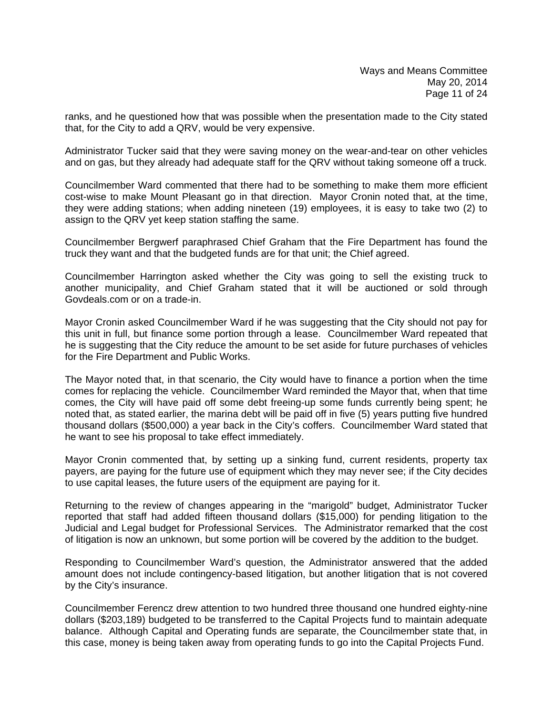ranks, and he questioned how that was possible when the presentation made to the City stated that, for the City to add a QRV, would be very expensive.

Administrator Tucker said that they were saving money on the wear-and-tear on other vehicles and on gas, but they already had adequate staff for the QRV without taking someone off a truck.

Councilmember Ward commented that there had to be something to make them more efficient cost-wise to make Mount Pleasant go in that direction. Mayor Cronin noted that, at the time, they were adding stations; when adding nineteen (19) employees, it is easy to take two (2) to assign to the QRV yet keep station staffing the same.

Councilmember Bergwerf paraphrased Chief Graham that the Fire Department has found the truck they want and that the budgeted funds are for that unit; the Chief agreed.

Councilmember Harrington asked whether the City was going to sell the existing truck to another municipality, and Chief Graham stated that it will be auctioned or sold through Govdeals.com or on a trade-in.

Mayor Cronin asked Councilmember Ward if he was suggesting that the City should not pay for this unit in full, but finance some portion through a lease. Councilmember Ward repeated that he is suggesting that the City reduce the amount to be set aside for future purchases of vehicles for the Fire Department and Public Works.

The Mayor noted that, in that scenario, the City would have to finance a portion when the time comes for replacing the vehicle. Councilmember Ward reminded the Mayor that, when that time comes, the City will have paid off some debt freeing-up some funds currently being spent; he noted that, as stated earlier, the marina debt will be paid off in five (5) years putting five hundred thousand dollars (\$500,000) a year back in the City's coffers. Councilmember Ward stated that he want to see his proposal to take effect immediately.

Mayor Cronin commented that, by setting up a sinking fund, current residents, property tax payers, are paying for the future use of equipment which they may never see; if the City decides to use capital leases, the future users of the equipment are paying for it.

Returning to the review of changes appearing in the "marigold" budget, Administrator Tucker reported that staff had added fifteen thousand dollars (\$15,000) for pending litigation to the Judicial and Legal budget for Professional Services. The Administrator remarked that the cost of litigation is now an unknown, but some portion will be covered by the addition to the budget.

Responding to Councilmember Ward's question, the Administrator answered that the added amount does not include contingency-based litigation, but another litigation that is not covered by the City's insurance.

Councilmember Ferencz drew attention to two hundred three thousand one hundred eighty-nine dollars (\$203,189) budgeted to be transferred to the Capital Projects fund to maintain adequate balance. Although Capital and Operating funds are separate, the Councilmember state that, in this case, money is being taken away from operating funds to go into the Capital Projects Fund.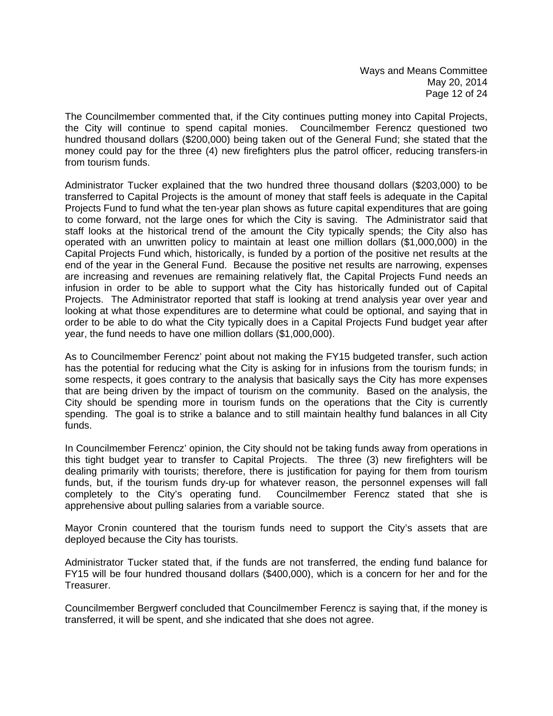The Councilmember commented that, if the City continues putting money into Capital Projects, the City will continue to spend capital monies. Councilmember Ferencz questioned two hundred thousand dollars (\$200,000) being taken out of the General Fund; she stated that the money could pay for the three (4) new firefighters plus the patrol officer, reducing transfers-in from tourism funds.

Administrator Tucker explained that the two hundred three thousand dollars (\$203,000) to be transferred to Capital Projects is the amount of money that staff feels is adequate in the Capital Projects Fund to fund what the ten-year plan shows as future capital expenditures that are going to come forward, not the large ones for which the City is saving. The Administrator said that staff looks at the historical trend of the amount the City typically spends; the City also has operated with an unwritten policy to maintain at least one million dollars (\$1,000,000) in the Capital Projects Fund which, historically, is funded by a portion of the positive net results at the end of the year in the General Fund. Because the positive net results are narrowing, expenses are increasing and revenues are remaining relatively flat, the Capital Projects Fund needs an infusion in order to be able to support what the City has historically funded out of Capital Projects. The Administrator reported that staff is looking at trend analysis year over year and looking at what those expenditures are to determine what could be optional, and saying that in order to be able to do what the City typically does in a Capital Projects Fund budget year after year, the fund needs to have one million dollars (\$1,000,000).

As to Councilmember Ferencz' point about not making the FY15 budgeted transfer, such action has the potential for reducing what the City is asking for in infusions from the tourism funds; in some respects, it goes contrary to the analysis that basically says the City has more expenses that are being driven by the impact of tourism on the community. Based on the analysis, the City should be spending more in tourism funds on the operations that the City is currently spending. The goal is to strike a balance and to still maintain healthy fund balances in all City funds.

In Councilmember Ferencz' opinion, the City should not be taking funds away from operations in this tight budget year to transfer to Capital Projects. The three (3) new firefighters will be dealing primarily with tourists; therefore, there is justification for paying for them from tourism funds, but, if the tourism funds dry-up for whatever reason, the personnel expenses will fall completely to the City's operating fund. Councilmember Ferencz stated that she is apprehensive about pulling salaries from a variable source.

Mayor Cronin countered that the tourism funds need to support the City's assets that are deployed because the City has tourists.

Administrator Tucker stated that, if the funds are not transferred, the ending fund balance for FY15 will be four hundred thousand dollars (\$400,000), which is a concern for her and for the Treasurer.

Councilmember Bergwerf concluded that Councilmember Ferencz is saying that, if the money is transferred, it will be spent, and she indicated that she does not agree.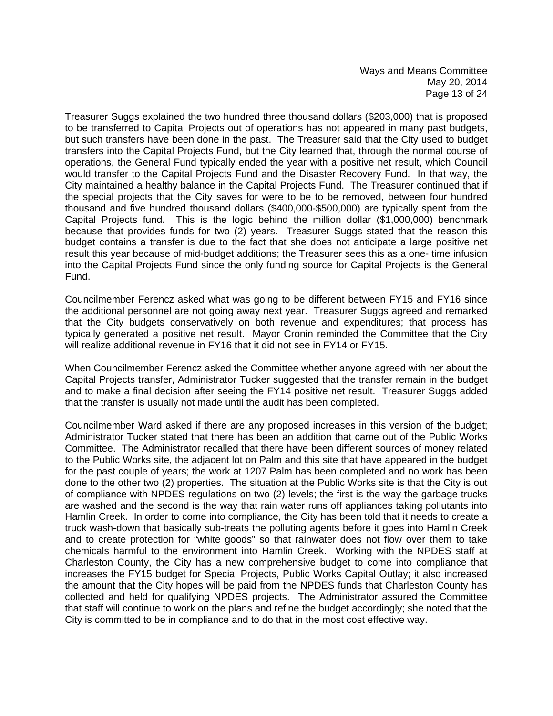Ways and Means Committee May 20, 2014 Page 13 of 24

Treasurer Suggs explained the two hundred three thousand dollars (\$203,000) that is proposed to be transferred to Capital Projects out of operations has not appeared in many past budgets, but such transfers have been done in the past. The Treasurer said that the City used to budget transfers into the Capital Projects Fund, but the City learned that, through the normal course of operations, the General Fund typically ended the year with a positive net result, which Council would transfer to the Capital Projects Fund and the Disaster Recovery Fund. In that way, the City maintained a healthy balance in the Capital Projects Fund. The Treasurer continued that if the special projects that the City saves for were to be to be removed, between four hundred thousand and five hundred thousand dollars (\$400,000-\$500,000) are typically spent from the Capital Projects fund. This is the logic behind the million dollar (\$1,000,000) benchmark because that provides funds for two (2) years. Treasurer Suggs stated that the reason this budget contains a transfer is due to the fact that she does not anticipate a large positive net result this year because of mid-budget additions; the Treasurer sees this as a one- time infusion into the Capital Projects Fund since the only funding source for Capital Projects is the General Fund.

Councilmember Ferencz asked what was going to be different between FY15 and FY16 since the additional personnel are not going away next year. Treasurer Suggs agreed and remarked that the City budgets conservatively on both revenue and expenditures; that process has typically generated a positive net result. Mayor Cronin reminded the Committee that the City will realize additional revenue in FY16 that it did not see in FY14 or FY15.

When Councilmember Ferencz asked the Committee whether anyone agreed with her about the Capital Projects transfer, Administrator Tucker suggested that the transfer remain in the budget and to make a final decision after seeing the FY14 positive net result. Treasurer Suggs added that the transfer is usually not made until the audit has been completed.

Councilmember Ward asked if there are any proposed increases in this version of the budget; Administrator Tucker stated that there has been an addition that came out of the Public Works Committee. The Administrator recalled that there have been different sources of money related to the Public Works site, the adjacent lot on Palm and this site that have appeared in the budget for the past couple of years; the work at 1207 Palm has been completed and no work has been done to the other two (2) properties. The situation at the Public Works site is that the City is out of compliance with NPDES regulations on two (2) levels; the first is the way the garbage trucks are washed and the second is the way that rain water runs off appliances taking pollutants into Hamlin Creek. In order to come into compliance, the City has been told that it needs to create a truck wash-down that basically sub-treats the polluting agents before it goes into Hamlin Creek and to create protection for "white goods" so that rainwater does not flow over them to take chemicals harmful to the environment into Hamlin Creek. Working with the NPDES staff at Charleston County, the City has a new comprehensive budget to come into compliance that increases the FY15 budget for Special Projects, Public Works Capital Outlay; it also increased the amount that the City hopes will be paid from the NPDES funds that Charleston County has collected and held for qualifying NPDES projects. The Administrator assured the Committee that staff will continue to work on the plans and refine the budget accordingly; she noted that the City is committed to be in compliance and to do that in the most cost effective way.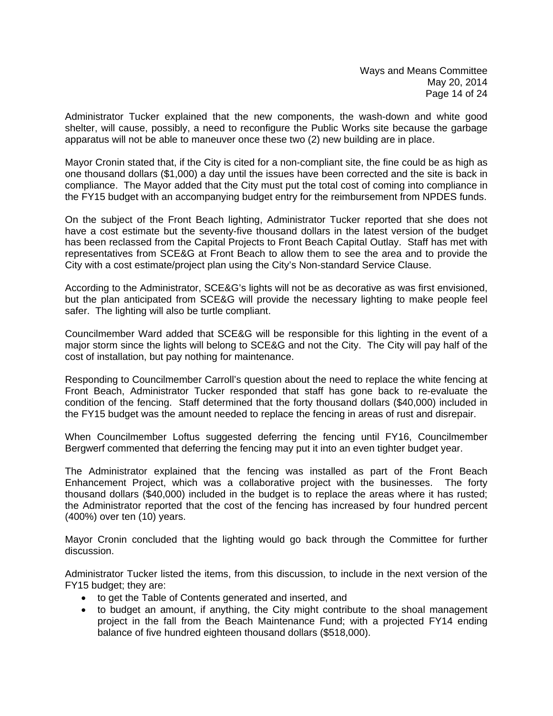Administrator Tucker explained that the new components, the wash-down and white good shelter, will cause, possibly, a need to reconfigure the Public Works site because the garbage apparatus will not be able to maneuver once these two (2) new building are in place.

Mayor Cronin stated that, if the City is cited for a non-compliant site, the fine could be as high as one thousand dollars (\$1,000) a day until the issues have been corrected and the site is back in compliance. The Mayor added that the City must put the total cost of coming into compliance in the FY15 budget with an accompanying budget entry for the reimbursement from NPDES funds.

On the subject of the Front Beach lighting, Administrator Tucker reported that she does not have a cost estimate but the seventy-five thousand dollars in the latest version of the budget has been reclassed from the Capital Projects to Front Beach Capital Outlay. Staff has met with representatives from SCE&G at Front Beach to allow them to see the area and to provide the City with a cost estimate/project plan using the City's Non-standard Service Clause.

According to the Administrator, SCE&G's lights will not be as decorative as was first envisioned, but the plan anticipated from SCE&G will provide the necessary lighting to make people feel safer. The lighting will also be turtle compliant.

Councilmember Ward added that SCE&G will be responsible for this lighting in the event of a major storm since the lights will belong to SCE&G and not the City. The City will pay half of the cost of installation, but pay nothing for maintenance.

Responding to Councilmember Carroll's question about the need to replace the white fencing at Front Beach, Administrator Tucker responded that staff has gone back to re-evaluate the condition of the fencing. Staff determined that the forty thousand dollars (\$40,000) included in the FY15 budget was the amount needed to replace the fencing in areas of rust and disrepair.

When Councilmember Loftus suggested deferring the fencing until FY16, Councilmember Bergwerf commented that deferring the fencing may put it into an even tighter budget year.

The Administrator explained that the fencing was installed as part of the Front Beach Enhancement Project, which was a collaborative project with the businesses. The forty thousand dollars (\$40,000) included in the budget is to replace the areas where it has rusted; the Administrator reported that the cost of the fencing has increased by four hundred percent (400%) over ten (10) years.

Mayor Cronin concluded that the lighting would go back through the Committee for further discussion.

Administrator Tucker listed the items, from this discussion, to include in the next version of the FY15 budget; they are:

- to get the Table of Contents generated and inserted, and
- to budget an amount, if anything, the City might contribute to the shoal management project in the fall from the Beach Maintenance Fund; with a projected FY14 ending balance of five hundred eighteen thousand dollars (\$518,000).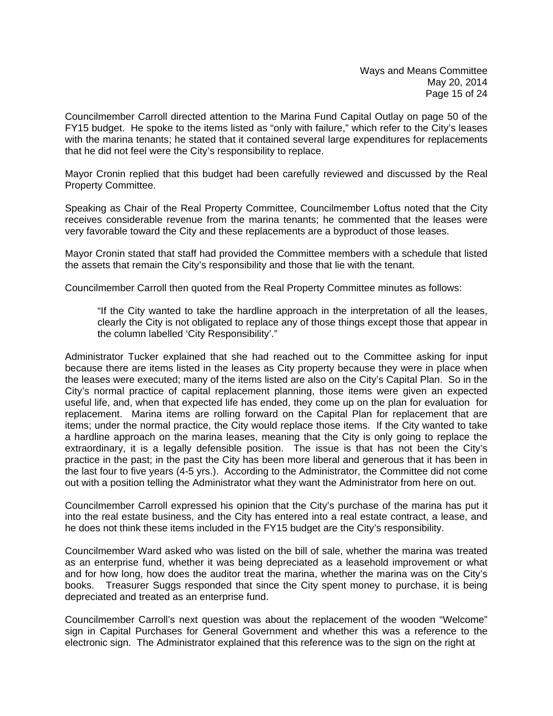Councilmember Carroll directed attention to the Marina Fund Capital Outlay on page 50 of the FY15 budget. He spoke to the items listed as "only with failure," which refer to the City's leases with the marina tenants; he stated that it contained several large expenditures for replacements that he did not feel were the City's responsibility to replace.

Mayor Cronin replied that this budget had been carefully reviewed and discussed by the Real Property Committee.

Speaking as Chair of the Real Property Committee, Councilmember Loftus noted that the City receives considerable revenue from the marina tenants; he commented that the leases were very favorable toward the City and these replacements are a byproduct of those leases.

Mayor Cronin stated that staff had provided the Committee members with a schedule that listed the assets that remain the City's responsibility and those that lie with the tenant.

Councilmember Carroll then quoted from the Real Property Committee minutes as follows:

 "If the City wanted to take the hardline approach in the interpretation of all the leases, clearly the City is not obligated to replace any of those things except those that appear in the column labelled 'City Responsibility'."

Administrator Tucker explained that she had reached out to the Committee asking for input because there are items listed in the leases as City property because they were in place when the leases were executed; many of the items listed are also on the City's Capital Plan. So in the City's normal practice of capital replacement planning, those items were given an expected useful life, and, when that expected life has ended, they come up on the plan for evaluation for replacement. Marina items are rolling forward on the Capital Plan for replacement that are items; under the normal practice, the City would replace those items. If the City wanted to take a hardline approach on the marina leases, meaning that the City is only going to replace the extraordinary, it is a legally defensible position. The issue is that has not been the City's practice in the past; in the past the City has been more liberal and generous that it has been in the last four to five years (4-5 yrs.). According to the Administrator, the Committee did not come out with a position telling the Administrator what they want the Administrator from here on out.

Councilmember Carroll expressed his opinion that the City's purchase of the marina has put it into the real estate business, and the City has entered into a real estate contract, a lease, and he does not think these items included in the FY15 budget are the City's responsibility.

Councilmember Ward asked who was listed on the bill of sale, whether the marina was treated as an enterprise fund, whether it was being depreciated as a leasehold improvement or what and for how long, how does the auditor treat the marina, whether the marina was on the City's books. Treasurer Suggs responded that since the City spent money to purchase, it is being depreciated and treated as an enterprise fund.

Councilmember Carroll's next question was about the replacement of the wooden "Welcome" sign in Capital Purchases for General Government and whether this was a reference to the electronic sign. The Administrator explained that this reference was to the sign on the right at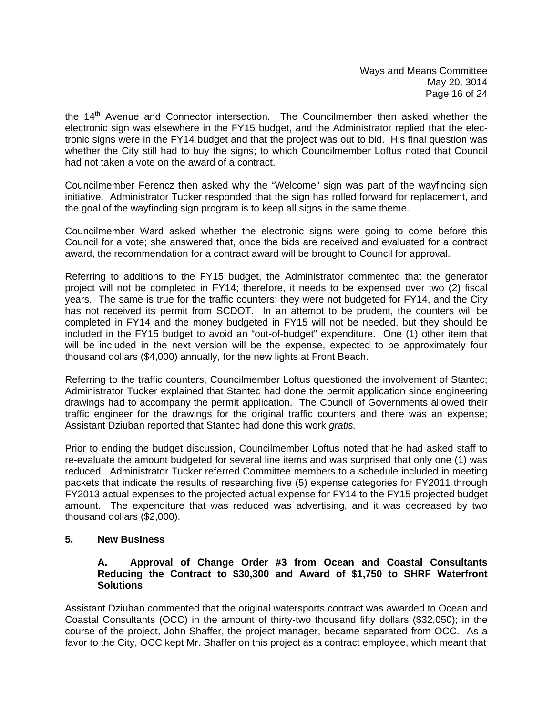the 14<sup>th</sup> Avenue and Connector intersection. The Councilmember then asked whether the electronic sign was elsewhere in the FY15 budget, and the Administrator replied that the electronic signs were in the FY14 budget and that the project was out to bid. His final question was whether the City still had to buy the signs; to which Councilmember Loftus noted that Council had not taken a vote on the award of a contract.

Councilmember Ferencz then asked why the "Welcome" sign was part of the wayfinding sign initiative. Administrator Tucker responded that the sign has rolled forward for replacement, and the goal of the wayfinding sign program is to keep all signs in the same theme.

Councilmember Ward asked whether the electronic signs were going to come before this Council for a vote; she answered that, once the bids are received and evaluated for a contract award, the recommendation for a contract award will be brought to Council for approval.

Referring to additions to the FY15 budget, the Administrator commented that the generator project will not be completed in FY14; therefore, it needs to be expensed over two (2) fiscal years. The same is true for the traffic counters; they were not budgeted for FY14, and the City has not received its permit from SCDOT. In an attempt to be prudent, the counters will be completed in FY14 and the money budgeted in FY15 will not be needed, but they should be included in the FY15 budget to avoid an "out-of-budget" expenditure. One (1) other item that will be included in the next version will be the expense, expected to be approximately four thousand dollars (\$4,000) annually, for the new lights at Front Beach.

Referring to the traffic counters, Councilmember Loftus questioned the involvement of Stantec; Administrator Tucker explained that Stantec had done the permit application since engineering drawings had to accompany the permit application. The Council of Governments allowed their traffic engineer for the drawings for the original traffic counters and there was an expense; Assistant Dziuban reported that Stantec had done this work *gratis.*

Prior to ending the budget discussion, Councilmember Loftus noted that he had asked staff to re-evaluate the amount budgeted for several line items and was surprised that only one (1) was reduced. Administrator Tucker referred Committee members to a schedule included in meeting packets that indicate the results of researching five (5) expense categories for FY2011 through FY2013 actual expenses to the projected actual expense for FY14 to the FY15 projected budget amount. The expenditure that was reduced was advertising, and it was decreased by two thousand dollars (\$2,000).

## **5. New Business**

#### **A. Approval of Change Order #3 from Ocean and Coastal Consultants Reducing the Contract to \$30,300 and Award of \$1,750 to SHRF Waterfront Solutions**

Assistant Dziuban commented that the original watersports contract was awarded to Ocean and Coastal Consultants (OCC) in the amount of thirty-two thousand fifty dollars (\$32,050); in the course of the project, John Shaffer, the project manager, became separated from OCC. As a favor to the City, OCC kept Mr. Shaffer on this project as a contract employee, which meant that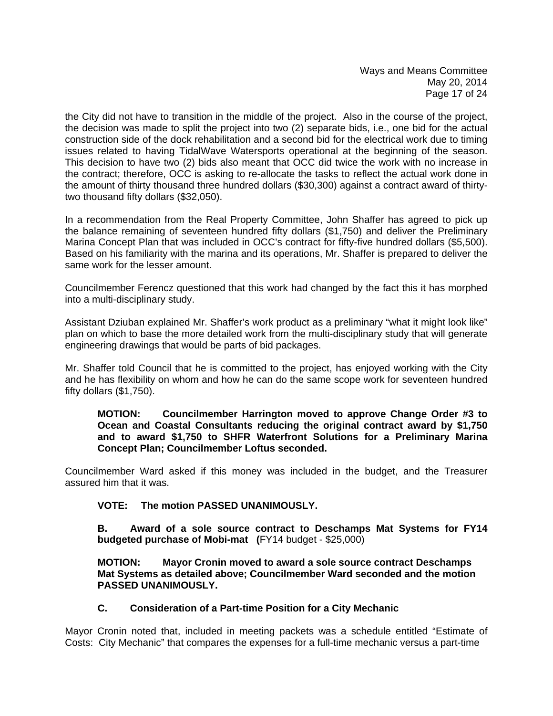the City did not have to transition in the middle of the project. Also in the course of the project, the decision was made to split the project into two (2) separate bids, i.e., one bid for the actual construction side of the dock rehabilitation and a second bid for the electrical work due to timing issues related to having TidalWave Watersports operational at the beginning of the season. This decision to have two (2) bids also meant that OCC did twice the work with no increase in the contract; therefore, OCC is asking to re-allocate the tasks to reflect the actual work done in the amount of thirty thousand three hundred dollars (\$30,300) against a contract award of thirtytwo thousand fifty dollars (\$32,050).

In a recommendation from the Real Property Committee, John Shaffer has agreed to pick up the balance remaining of seventeen hundred fifty dollars (\$1,750) and deliver the Preliminary Marina Concept Plan that was included in OCC's contract for fifty-five hundred dollars (\$5,500). Based on his familiarity with the marina and its operations, Mr. Shaffer is prepared to deliver the same work for the lesser amount.

Councilmember Ferencz questioned that this work had changed by the fact this it has morphed into a multi-disciplinary study.

Assistant Dziuban explained Mr. Shaffer's work product as a preliminary "what it might look like" plan on which to base the more detailed work from the multi-disciplinary study that will generate engineering drawings that would be parts of bid packages.

Mr. Shaffer told Council that he is committed to the project, has enjoyed working with the City and he has flexibility on whom and how he can do the same scope work for seventeen hundred fifty dollars (\$1,750).

**MOTION: Councilmember Harrington moved to approve Change Order #3 to Ocean and Coastal Consultants reducing the original contract award by \$1,750 and to award \$1,750 to SHFR Waterfront Solutions for a Preliminary Marina Concept Plan; Councilmember Loftus seconded.** 

Councilmember Ward asked if this money was included in the budget, and the Treasurer assured him that it was.

## **VOTE: The motion PASSED UNANIMOUSLY.**

 **B. Award of a sole source contract to Deschamps Mat Systems for FY14 budgeted purchase of Mobi-mat (**FY14 budget - \$25,000)

**MOTION: Mayor Cronin moved to award a sole source contract Deschamps Mat Systems as detailed above; Councilmember Ward seconded and the motion PASSED UNANIMOUSLY.** 

## **C. Consideration of a Part-time Position for a City Mechanic**

Mayor Cronin noted that, included in meeting packets was a schedule entitled "Estimate of Costs: City Mechanic" that compares the expenses for a full-time mechanic versus a part-time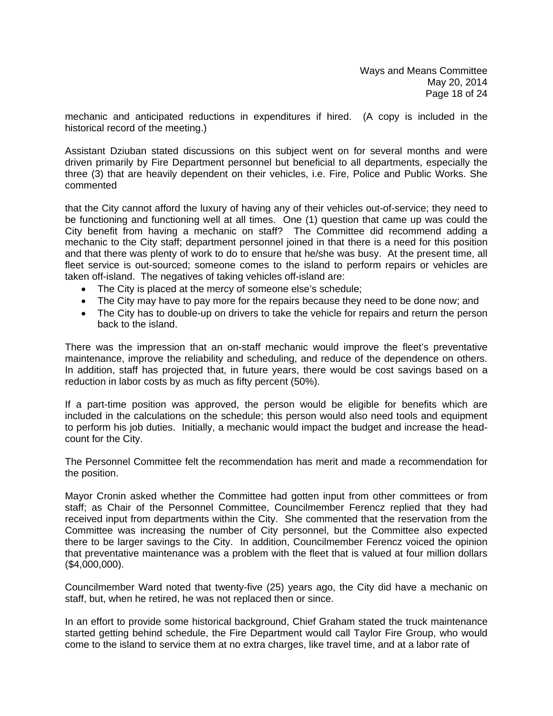mechanic and anticipated reductions in expenditures if hired. (A copy is included in the historical record of the meeting.)

Assistant Dziuban stated discussions on this subject went on for several months and were driven primarily by Fire Department personnel but beneficial to all departments, especially the three (3) that are heavily dependent on their vehicles, i.e. Fire, Police and Public Works. She commented

that the City cannot afford the luxury of having any of their vehicles out-of-service; they need to be functioning and functioning well at all times. One (1) question that came up was could the City benefit from having a mechanic on staff? The Committee did recommend adding a mechanic to the City staff; department personnel joined in that there is a need for this position and that there was plenty of work to do to ensure that he/she was busy. At the present time, all fleet service is out-sourced; someone comes to the island to perform repairs or vehicles are taken off-island. The negatives of taking vehicles off-island are:

- The City is placed at the mercy of someone else's schedule;
- The City may have to pay more for the repairs because they need to be done now; and
- The City has to double-up on drivers to take the vehicle for repairs and return the person back to the island.

There was the impression that an on-staff mechanic would improve the fleet's preventative maintenance, improve the reliability and scheduling, and reduce of the dependence on others. In addition, staff has projected that, in future years, there would be cost savings based on a reduction in labor costs by as much as fifty percent (50%).

If a part-time position was approved, the person would be eligible for benefits which are included in the calculations on the schedule; this person would also need tools and equipment to perform his job duties. Initially, a mechanic would impact the budget and increase the headcount for the City.

The Personnel Committee felt the recommendation has merit and made a recommendation for the position.

Mayor Cronin asked whether the Committee had gotten input from other committees or from staff; as Chair of the Personnel Committee, Councilmember Ferencz replied that they had received input from departments within the City. She commented that the reservation from the Committee was increasing the number of City personnel, but the Committee also expected there to be larger savings to the City. In addition, Councilmember Ferencz voiced the opinion that preventative maintenance was a problem with the fleet that is valued at four million dollars (\$4,000,000).

Councilmember Ward noted that twenty-five (25) years ago, the City did have a mechanic on staff, but, when he retired, he was not replaced then or since.

In an effort to provide some historical background, Chief Graham stated the truck maintenance started getting behind schedule, the Fire Department would call Taylor Fire Group, who would come to the island to service them at no extra charges, like travel time, and at a labor rate of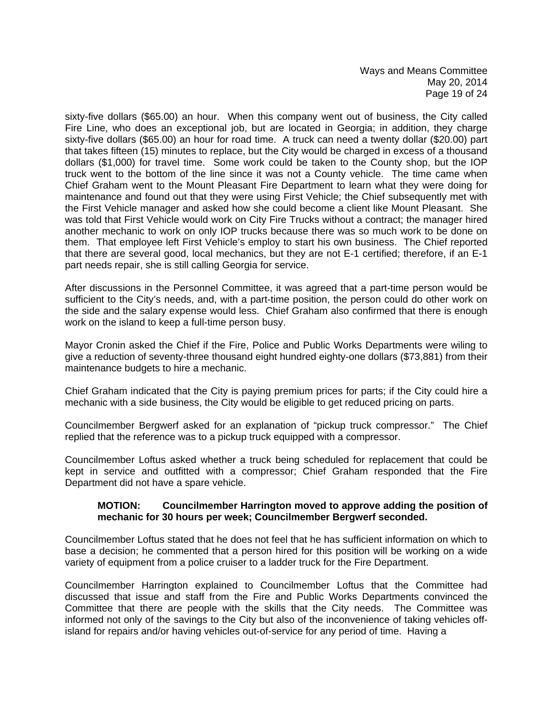Ways and Means Committee May 20, 2014 Page 19 of 24

sixty-five dollars (\$65.00) an hour. When this company went out of business, the City called Fire Line, who does an exceptional job, but are located in Georgia; in addition, they charge sixty-five dollars (\$65.00) an hour for road time. A truck can need a twenty dollar (\$20.00) part that takes fifteen (15) minutes to replace, but the City would be charged in excess of a thousand dollars (\$1,000) for travel time. Some work could be taken to the County shop, but the IOP truck went to the bottom of the line since it was not a County vehicle. The time came when Chief Graham went to the Mount Pleasant Fire Department to learn what they were doing for maintenance and found out that they were using First Vehicle; the Chief subsequently met with the First Vehicle manager and asked how she could become a client like Mount Pleasant. She was told that First Vehicle would work on City Fire Trucks without a contract; the manager hired another mechanic to work on only IOP trucks because there was so much work to be done on them. That employee left First Vehicle's employ to start his own business. The Chief reported that there are several good, local mechanics, but they are not E-1 certified; therefore, if an E-1 part needs repair, she is still calling Georgia for service.

After discussions in the Personnel Committee, it was agreed that a part-time person would be sufficient to the City's needs, and, with a part-time position, the person could do other work on the side and the salary expense would less. Chief Graham also confirmed that there is enough work on the island to keep a full-time person busy.

Mayor Cronin asked the Chief if the Fire, Police and Public Works Departments were wiling to give a reduction of seventy-three thousand eight hundred eighty-one dollars (\$73,881) from their maintenance budgets to hire a mechanic.

Chief Graham indicated that the City is paying premium prices for parts; if the City could hire a mechanic with a side business, the City would be eligible to get reduced pricing on parts.

Councilmember Bergwerf asked for an explanation of "pickup truck compressor." The Chief replied that the reference was to a pickup truck equipped with a compressor.

Councilmember Loftus asked whether a truck being scheduled for replacement that could be kept in service and outfitted with a compressor; Chief Graham responded that the Fire Department did not have a spare vehicle.

#### **MOTION: Councilmember Harrington moved to approve adding the position of mechanic for 30 hours per week; Councilmember Bergwerf seconded.**

Councilmember Loftus stated that he does not feel that he has sufficient information on which to base a decision; he commented that a person hired for this position will be working on a wide variety of equipment from a police cruiser to a ladder truck for the Fire Department.

Councilmember Harrington explained to Councilmember Loftus that the Committee had discussed that issue and staff from the Fire and Public Works Departments convinced the Committee that there are people with the skills that the City needs. The Committee was informed not only of the savings to the City but also of the inconvenience of taking vehicles offisland for repairs and/or having vehicles out-of-service for any period of time. Having a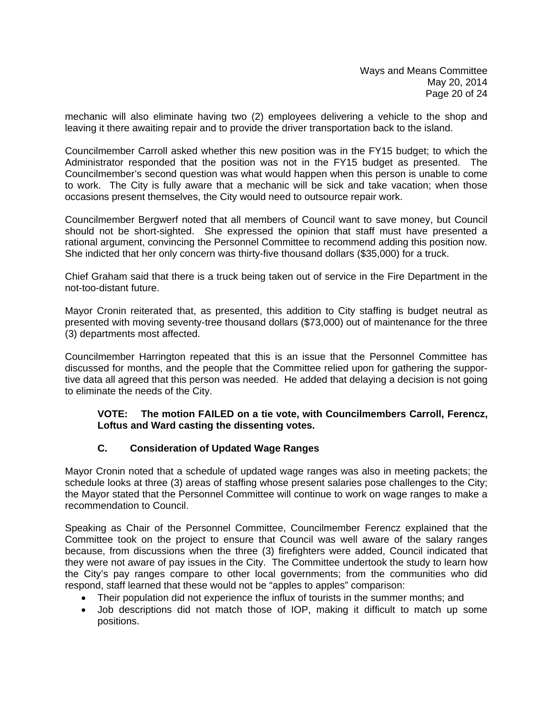mechanic will also eliminate having two (2) employees delivering a vehicle to the shop and leaving it there awaiting repair and to provide the driver transportation back to the island.

Councilmember Carroll asked whether this new position was in the FY15 budget; to which the Administrator responded that the position was not in the FY15 budget as presented. The Councilmember's second question was what would happen when this person is unable to come to work. The City is fully aware that a mechanic will be sick and take vacation; when those occasions present themselves, the City would need to outsource repair work.

Councilmember Bergwerf noted that all members of Council want to save money, but Council should not be short-sighted. She expressed the opinion that staff must have presented a rational argument, convincing the Personnel Committee to recommend adding this position now. She indicted that her only concern was thirty-five thousand dollars (\$35,000) for a truck.

Chief Graham said that there is a truck being taken out of service in the Fire Department in the not-too-distant future.

Mayor Cronin reiterated that, as presented, this addition to City staffing is budget neutral as presented with moving seventy-tree thousand dollars (\$73,000) out of maintenance for the three (3) departments most affected.

Councilmember Harrington repeated that this is an issue that the Personnel Committee has discussed for months, and the people that the Committee relied upon for gathering the supportive data all agreed that this person was needed. He added that delaying a decision is not going to eliminate the needs of the City.

#### **VOTE: The motion FAILED on a tie vote, with Councilmembers Carroll, Ferencz, Loftus and Ward casting the dissenting votes.**

## **C. Consideration of Updated Wage Ranges**

Mayor Cronin noted that a schedule of updated wage ranges was also in meeting packets; the schedule looks at three (3) areas of staffing whose present salaries pose challenges to the City; the Mayor stated that the Personnel Committee will continue to work on wage ranges to make a recommendation to Council.

Speaking as Chair of the Personnel Committee, Councilmember Ferencz explained that the Committee took on the project to ensure that Council was well aware of the salary ranges because, from discussions when the three (3) firefighters were added, Council indicated that they were not aware of pay issues in the City. The Committee undertook the study to learn how the City's pay ranges compare to other local governments; from the communities who did respond, staff learned that these would not be "apples to apples" comparison:

- Their population did not experience the influx of tourists in the summer months; and
- Job descriptions did not match those of IOP, making it difficult to match up some positions.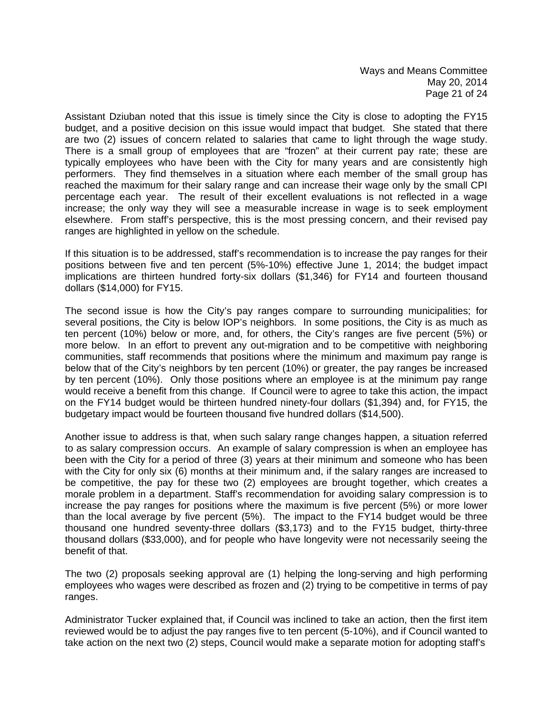Assistant Dziuban noted that this issue is timely since the City is close to adopting the FY15 budget, and a positive decision on this issue would impact that budget. She stated that there are two (2) issues of concern related to salaries that came to light through the wage study. There is a small group of employees that are "frozen" at their current pay rate; these are typically employees who have been with the City for many years and are consistently high performers. They find themselves in a situation where each member of the small group has reached the maximum for their salary range and can increase their wage only by the small CPI percentage each year. The result of their excellent evaluations is not reflected in a wage increase; the only way they will see a measurable increase in wage is to seek employment elsewhere. From staff's perspective, this is the most pressing concern, and their revised pay ranges are highlighted in yellow on the schedule.

If this situation is to be addressed, staff's recommendation is to increase the pay ranges for their positions between five and ten percent (5%-10%) effective June 1, 2014; the budget impact implications are thirteen hundred forty-six dollars (\$1,346) for FY14 and fourteen thousand dollars (\$14,000) for FY15.

The second issue is how the City's pay ranges compare to surrounding municipalities; for several positions, the City is below IOP's neighbors. In some positions, the City is as much as ten percent (10%) below or more, and, for others, the City's ranges are five percent (5%) or more below. In an effort to prevent any out-migration and to be competitive with neighboring communities, staff recommends that positions where the minimum and maximum pay range is below that of the City's neighbors by ten percent (10%) or greater, the pay ranges be increased by ten percent (10%). Only those positions where an employee is at the minimum pay range would receive a benefit from this change. If Council were to agree to take this action, the impact on the FY14 budget would be thirteen hundred ninety-four dollars (\$1,394) and, for FY15, the budgetary impact would be fourteen thousand five hundred dollars (\$14,500).

Another issue to address is that, when such salary range changes happen, a situation referred to as salary compression occurs. An example of salary compression is when an employee has been with the City for a period of three (3) years at their minimum and someone who has been with the City for only six (6) months at their minimum and, if the salary ranges are increased to be competitive, the pay for these two (2) employees are brought together, which creates a morale problem in a department. Staff's recommendation for avoiding salary compression is to increase the pay ranges for positions where the maximum is five percent (5%) or more lower than the local average by five percent (5%). The impact to the FY14 budget would be three thousand one hundred seventy-three dollars (\$3,173) and to the FY15 budget, thirty-three thousand dollars (\$33,000), and for people who have longevity were not necessarily seeing the benefit of that.

The two (2) proposals seeking approval are (1) helping the long-serving and high performing employees who wages were described as frozen and (2) trying to be competitive in terms of pay ranges.

Administrator Tucker explained that, if Council was inclined to take an action, then the first item reviewed would be to adjust the pay ranges five to ten percent (5-10%), and if Council wanted to take action on the next two (2) steps, Council would make a separate motion for adopting staff's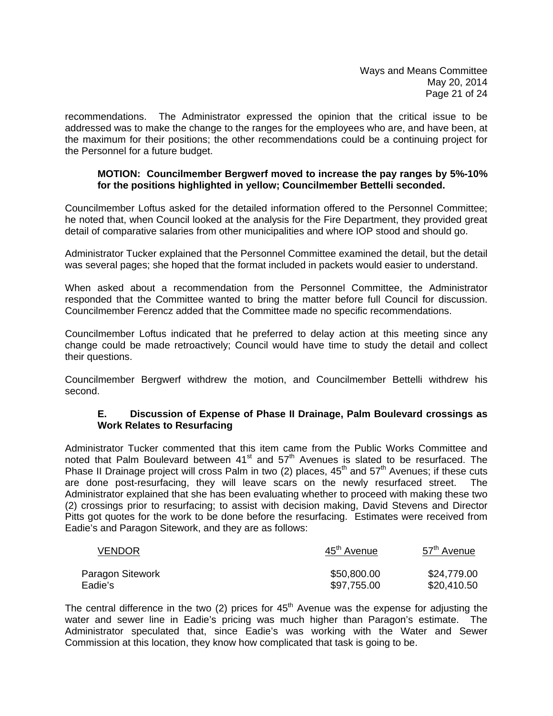recommendations. The Administrator expressed the opinion that the critical issue to be addressed was to make the change to the ranges for the employees who are, and have been, at the maximum for their positions; the other recommendations could be a continuing project for the Personnel for a future budget.

#### **MOTION: Councilmember Bergwerf moved to increase the pay ranges by 5%-10% for the positions highlighted in yellow; Councilmember Bettelli seconded.**

Councilmember Loftus asked for the detailed information offered to the Personnel Committee; he noted that, when Council looked at the analysis for the Fire Department, they provided great detail of comparative salaries from other municipalities and where IOP stood and should go.

Administrator Tucker explained that the Personnel Committee examined the detail, but the detail was several pages; she hoped that the format included in packets would easier to understand.

When asked about a recommendation from the Personnel Committee, the Administrator responded that the Committee wanted to bring the matter before full Council for discussion. Councilmember Ferencz added that the Committee made no specific recommendations.

Councilmember Loftus indicated that he preferred to delay action at this meeting since any change could be made retroactively; Council would have time to study the detail and collect their questions.

Councilmember Bergwerf withdrew the motion, and Councilmember Bettelli withdrew his second.

#### **E. Discussion of Expense of Phase II Drainage, Palm Boulevard crossings as Work Relates to Resurfacing**

Administrator Tucker commented that this item came from the Public Works Committee and noted that Palm Boulevard between  $41<sup>st</sup>$  and  $57<sup>th</sup>$  Avenues is slated to be resurfaced. The Phase II Drainage project will cross Palm in two (2) places,  $45<sup>th</sup>$  and  $57<sup>th</sup>$  Avenues; if these cuts are done post-resurfacing, they will leave scars on the newly resurfaced street. The Administrator explained that she has been evaluating whether to proceed with making these two (2) crossings prior to resurfacing; to assist with decision making, David Stevens and Director Pitts got quotes for the work to be done before the resurfacing. Estimates were received from Eadie's and Paragon Sitework, and they are as follows:

| <b>VENDOR</b>    | 45 <sup>th</sup> Avenue | 57 <sup>th</sup> Avenue |
|------------------|-------------------------|-------------------------|
| Paragon Sitework | \$50,800.00             | \$24,779.00             |
| Eadie's          | \$97,755.00             | \$20,410.50             |

The central difference in the two (2) prices for  $45<sup>th</sup>$  Avenue was the expense for adjusting the water and sewer line in Eadie's pricing was much higher than Paragon's estimate. The Administrator speculated that, since Eadie's was working with the Water and Sewer Commission at this location, they know how complicated that task is going to be.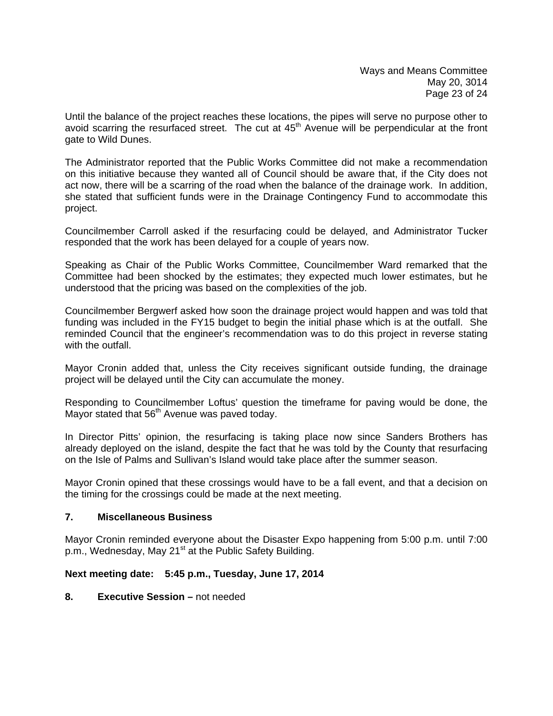Until the balance of the project reaches these locations, the pipes will serve no purpose other to avoid scarring the resurfaced street. The cut at  $45<sup>th</sup>$  Avenue will be perpendicular at the front gate to Wild Dunes.

The Administrator reported that the Public Works Committee did not make a recommendation on this initiative because they wanted all of Council should be aware that, if the City does not act now, there will be a scarring of the road when the balance of the drainage work. In addition, she stated that sufficient funds were in the Drainage Contingency Fund to accommodate this project.

Councilmember Carroll asked if the resurfacing could be delayed, and Administrator Tucker responded that the work has been delayed for a couple of years now.

Speaking as Chair of the Public Works Committee, Councilmember Ward remarked that the Committee had been shocked by the estimates; they expected much lower estimates, but he understood that the pricing was based on the complexities of the job.

Councilmember Bergwerf asked how soon the drainage project would happen and was told that funding was included in the FY15 budget to begin the initial phase which is at the outfall. She reminded Council that the engineer's recommendation was to do this project in reverse stating with the outfall.

Mayor Cronin added that, unless the City receives significant outside funding, the drainage project will be delayed until the City can accumulate the money.

Responding to Councilmember Loftus' question the timeframe for paving would be done, the Mayor stated that 56<sup>th</sup> Avenue was paved today.

In Director Pitts' opinion, the resurfacing is taking place now since Sanders Brothers has already deployed on the island, despite the fact that he was told by the County that resurfacing on the Isle of Palms and Sullivan's Island would take place after the summer season.

Mayor Cronin opined that these crossings would have to be a fall event, and that a decision on the timing for the crossings could be made at the next meeting.

## **7. Miscellaneous Business**

Mayor Cronin reminded everyone about the Disaster Expo happening from 5:00 p.m. until 7:00 p.m., Wednesday, May 21<sup>st</sup> at the Public Safety Building.

## **Next meeting date: 5:45 p.m., Tuesday, June 17, 2014**

#### **8. Executive Session –** not needed